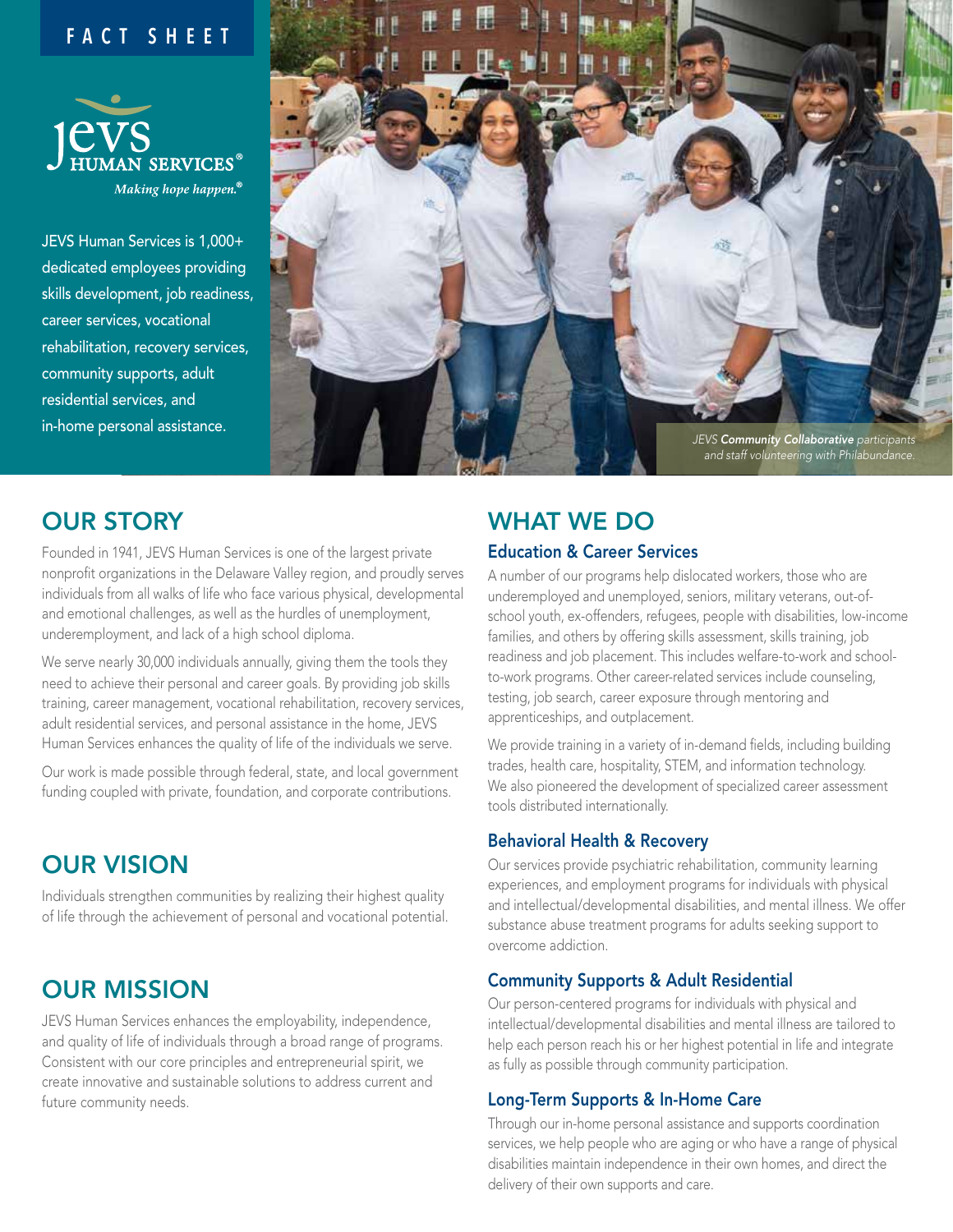### **FACT SHEET**



JEVS Human Services is 1,000+ dedicated employees providing skills development, job readiness, career services, vocational rehabilitation, recovery services, community supports, adult residential services, and in-home personal assistance.



# OUR STORY

Founded in 1941, JEVS Human Services is one of the largest private nonprofit organizations in the Delaware Valley region, and proudly serves individuals from all walks of life who face various physical, developmental and emotional challenges, as well as the hurdles of unemployment, underemployment, and lack of a high school diploma.

We serve nearly 30,000 individuals annually, giving them the tools they need to achieve their personal and career goals. By providing job skills training, career management, vocational rehabilitation, recovery services, adult residential services, and personal assistance in the home, JEVS Human Services enhances the quality of life of the individuals we serve.

Our work is made possible through federal, state, and local government funding coupled with private, foundation, and corporate contributions.

# OUR VISION

Individuals strengthen communities by realizing their highest quality of life through the achievement of personal and vocational potential.

## OUR MISSION

JEVS Human Services enhances the employability, independence, and quality of life of individuals through a broad range of programs. Consistent with our core principles and entrepreneurial spirit, we create innovative and sustainable solutions to address current and future community needs.

## WHAT WE DO Education & Career Services

A number of our programs help dislocated workers, those who are underemployed and unemployed, seniors, military veterans, out-ofschool youth, ex-offenders, refugees, people with disabilities, low-income families, and others by offering skills assessment, skills training, job readiness and job placement. This includes welfare-to-work and schoolto-work programs. Other career-related services include counseling, testing, job search, career exposure through mentoring and apprenticeships, and outplacement.

We provide training in a variety of in-demand fields, including building trades, health care, hospitality, STEM, and information technology. We also pioneered the development of specialized career assessment tools distributed internationally.

#### Behavioral Health & Recovery

Our services provide psychiatric rehabilitation, community learning experiences, and employment programs for individuals with physical and intellectual/developmental disabilities, and mental illness. We offer substance abuse treatment programs for adults seeking support to overcome addiction.

#### Community Supports & Adult Residential

Our person-centered programs for individuals with physical and intellectual/developmental disabilities and mental illness are tailored to help each person reach his or her highest potential in life and integrate as fully as possible through community participation.

#### Long-Term Supports & In-Home Care

Through our in-home personal assistance and supports coordination services, we help people who are aging or who have a range of physical disabilities maintain independence in their own homes, and direct the delivery of their own supports and care.